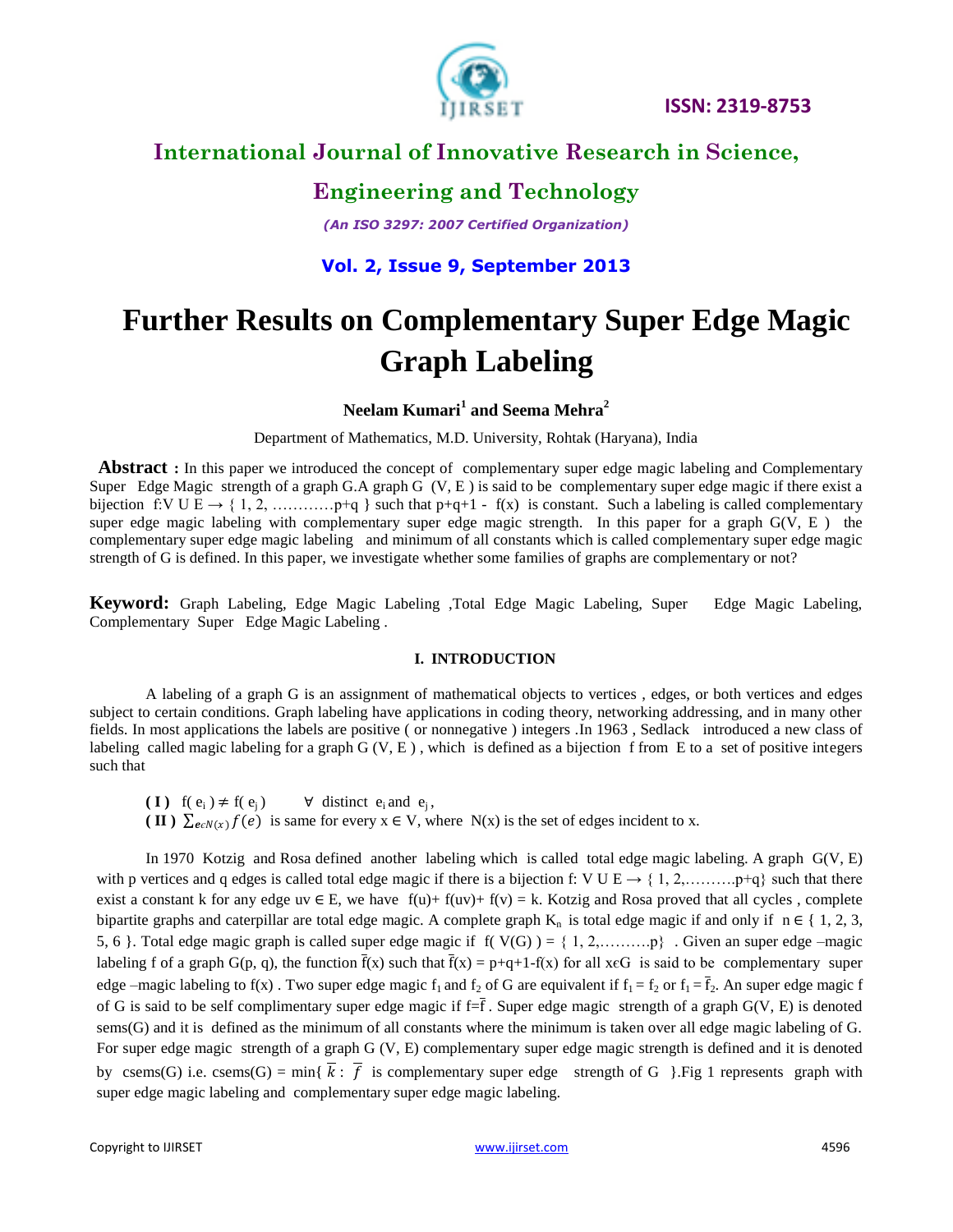

# **International Journal of Innovative Research in Science,**

#### **Engineering and Technology**

*(An ISO 3297: 2007 Certified Organization)*

#### **Vol. 2, Issue 9, September 2013**

# **Further Results on Complementary Super Edge Magic Graph Labeling**

**Neelam Kumari<sup>1</sup> and Seema Mehra<sup>2</sup>**

Department of Mathematics, M.D. University, Rohtak (Haryana), India

 **Abstract :** In this paper we introduced the concept of complementary super edge magic labeling and Complementary Super Edge Magic strength of a graph G.A graph G (V, E ) is said to be complementary super edge magic if there exist a bijection f:V U E  $\rightarrow$  { 1, 2, …………p+q } such that p+q+1 - f(x) is constant. Such a labeling is called complementary super edge magic labeling with complementary super edge magic strength. In this paper for a graph G(V, E) the complementary super edge magic labeling and minimum of all constants which is called complementary super edge magic strength of G is defined. In this paper, we investigate whether some families of graphs are complementary or not?

**Keyword:** Graph Labeling, Edge Magic Labeling ,Total Edge Magic Labeling, Super Edge Magic Labeling, Complementary Super Edge Magic Labeling .

#### **I. INTRODUCTION**

A labeling of a graph G is an assignment of mathematical objects to vertices , edges, or both vertices and edges subject to certain conditions. Graph labeling have applications in coding theory, networking addressing, and in many other fields. In most applications the labels are positive ( or nonnegative ) integers .In 1963 , Sedlack introduced a new class of labeling called magic labeling for a graph  $G(V, E)$ , which is defined as a bijection f from E to a set of positive integers such that

( **I**)  $f(e_i) \neq f(e_j)$   $\forall$  distinct  $e_i$  and  $e_j$ , ( **II** )  $\sum_{e \in N(x)} f(e)$  is same for every  $x \in V$ , where N(x) is the set of edges incident to x.

In 1970 Kotzig and Rosa defined another labeling which is called total edge magic labeling. A graph G(V, E) with p vertices and q edges is called total edge magic if there is a bijection f: V U E  $\rightarrow$  { 1, 2, ……….. p+q} such that there exist a constant k for any edge uv  $\in$  E, we have  $f(u) + f(u) + f(v) = k$ . Kotzig and Rosa proved that all cycles, complete bipartite graphs and caterpillar are total edge magic. A complete graph  $K_n$  is total edge magic if and only if  $n \in \{1, 2, 3, \ldots\}$ 5, 6 }. Total edge magic graph is called super edge magic if  $f(V(G)) = \{1, 2, \ldots, P\}$ . Given an super edge –magic labeling f of a graph  $G(p, q)$ , the function  $\bar{f}(x)$  such that  $\bar{f}(x) = p+q+1-f(x)$  for all xeG is said to be complementary super edge –magic labeling to f(x). Two super edge magic  $f_1$  and  $f_2$  of G are equivalent if  $f_1 = f_2$  or  $f_1 = \overline{f}_2$ . An super edge magic f of G is said to be self complimentary super edge magic if  $f = \overline{f}$ . Super edge magic strength of a graph  $G(V, E)$  is denoted sems(G) and it is defined as the minimum of all constants where the minimum is taken over all edge magic labeling of G. For super edge magic strength of a graph G (V, E) complementary super edge magic strength is defined and it is denoted by csems(G) i.e. csems(G) = min{ $\overline{k}$ :  $\overline{f}$  is complementary super edge strength of G }. Fig 1 represents graph with super edge magic labeling and complementary super edge magic labeling.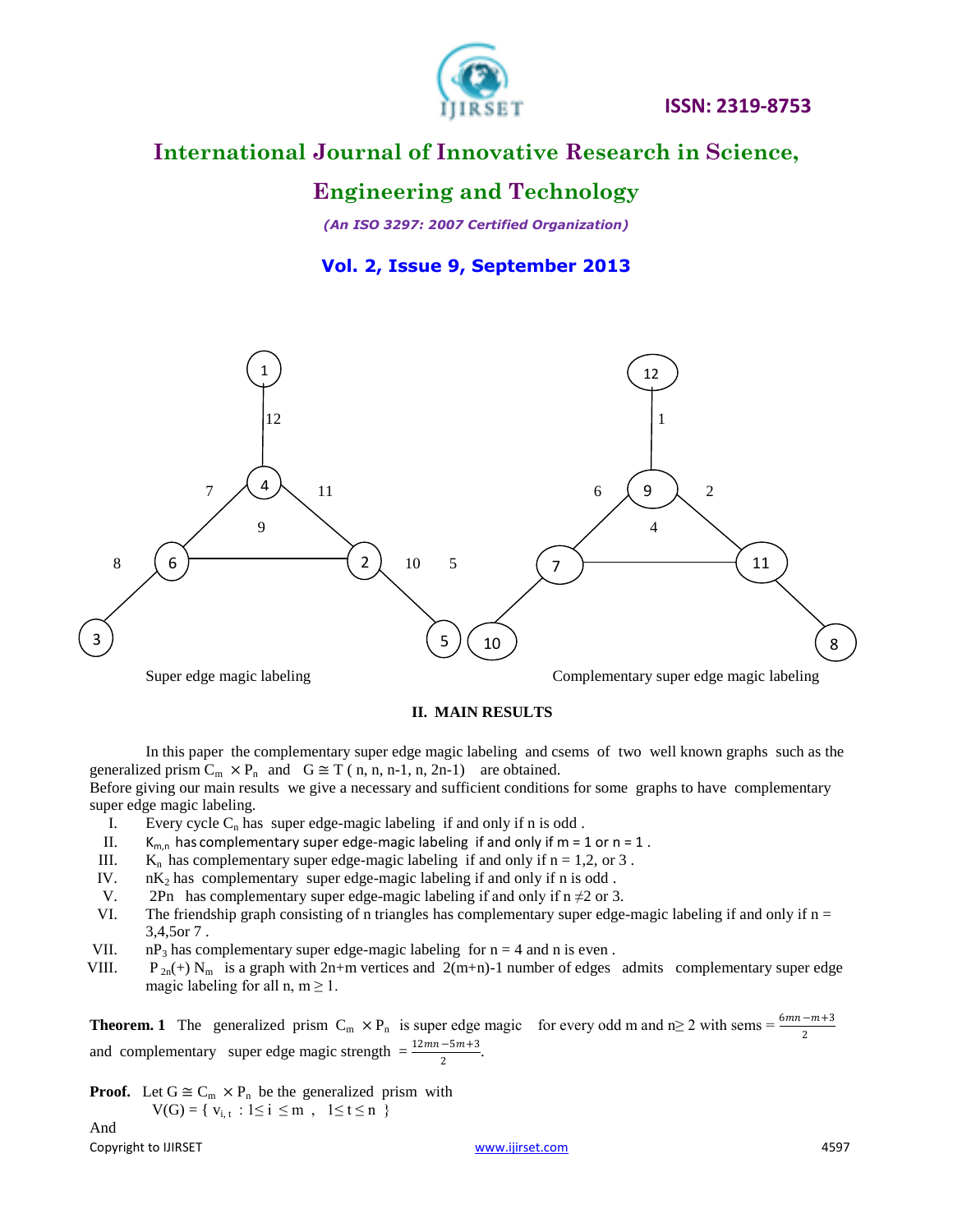

# **International Journal of Innovative Research in Science,**

### **Engineering and Technology**

*(An ISO 3297: 2007 Certified Organization)*

**Vol. 2, Issue 9, September 2013**



#### **II. MAIN RESULTS**

In this paper the complementary super edge magic labeling and csems of two well known graphs such as the generalized prism  $C_m \times P_n$  and  $G \cong T$  (n, n, n-1, n, 2n-1) are obtained. Before giving our main results we give a necessary and sufficient conditions for some graphs to have complementary

super edge magic labeling.

- I. Every cycle  $C_n$  has super edge-magic labeling if and only if n is odd.
- II.  $K_{m,n}$  has complementary super edge-magic labeling if and only if m = 1 or n = 1.
- III.  $K_n$  has complementary super edge-magic labeling if and only if  $n = 1, 2,$  or 3.
- IV.  $nK<sub>2</sub>$  has complementary super edge-magic labeling if and only if n is odd.
- V. 2Pn has complementary super edge-magic labeling if and only if  $n \neq 2$  or 3.
- VI. The friendship graph consisting of n triangles has complementary super edge-magic labeling if and only if  $n =$ 3,4,5or 7 .
- VII.  $nP_3$  has complementary super edge-magic labeling for  $n = 4$  and n is even .<br>VIII.  $P_{2n}(+) N_m$  is a graph with  $2n+m$  vertices and  $2(m+n)-1$  number of edges
- $P_{2n}(+) N_m$  is a graph with 2n+m vertices and 2(m+n)-1 number of edges admits complementary super edge magic labeling for all n,  $m \ge 1$ .

**Theorem. 1** The generalized prism  $C_m \times P_n$  is super edge magic for every odd m and n≥ 2 with sems =  $\frac{6mn-m+3}{2}$ and complementary super edge magic strength  $=\frac{12mn-5m+3}{2}$ .

**Proof.** Let  $G \cong C_m \times P_n$  be the generalized prism with  $V(G) = \{ v_{i,t} : 1 \le i \le m , 1 \le t \le n \}$ 

Copyright to IJIRSET And the Copyright to IJIRSET And the Copyright to IJIRSET And the Copyright of the Copyright of the Copyright of the Copyright of the Copyright of the Copyright of the Copyright of the Copyright of the And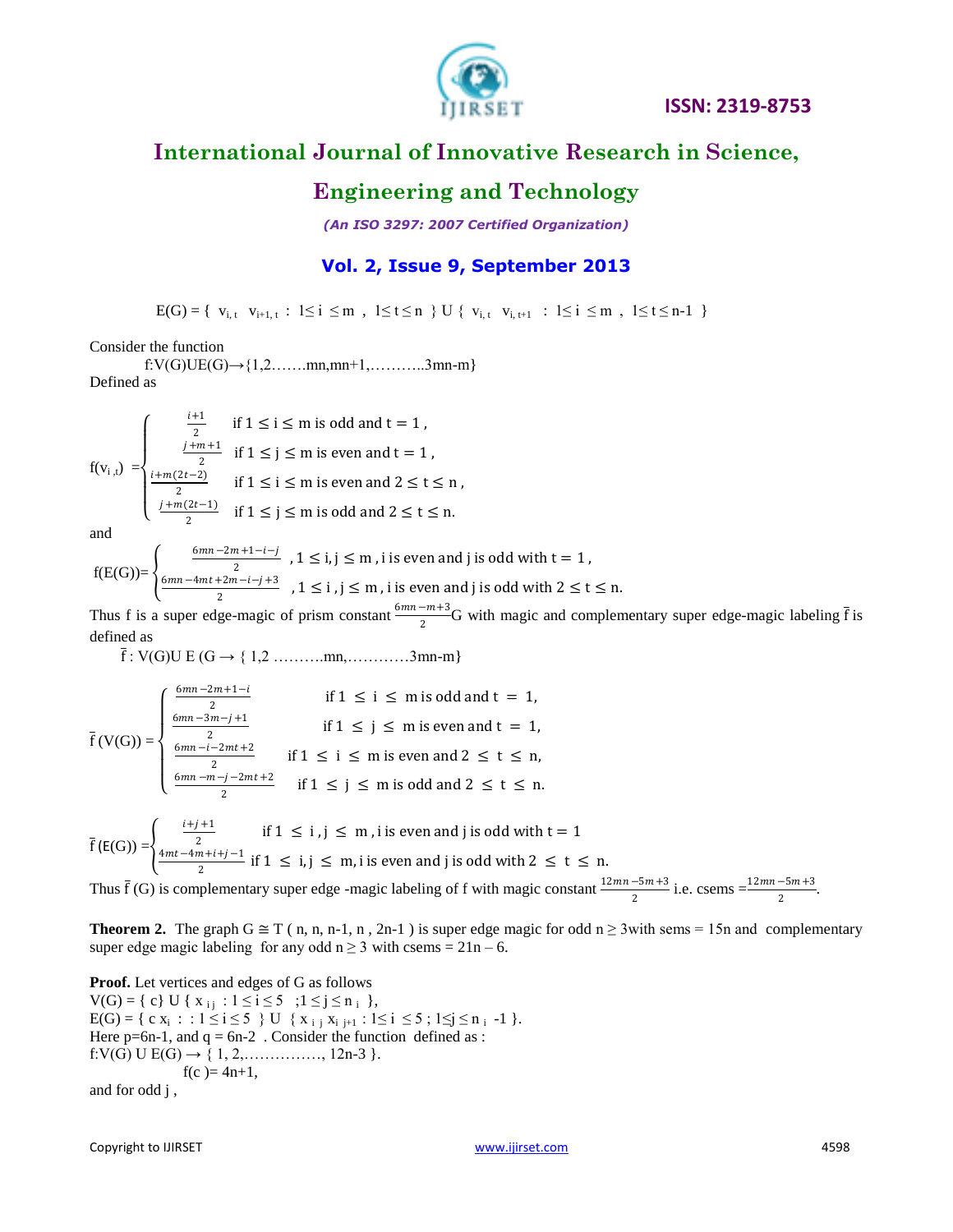

# **International Journal of Innovative Research in Science,**

#### **Engineering and Technology**

*(An ISO 3297: 2007 Certified Organization)*

#### **Vol. 2, Issue 9, September 2013**

 $E(G) = \{ v_{i,t} \; v_{i+1,t} : 1 \le i \le m , 1 \le t \le n \} \cup \{ v_{i,t} \; v_{i,t+1} : 1 \le i \le m , 1 \le t \le n-1 \}$ 

Consider the function

f:V(G)UE(G) $\rightarrow$ {1,2…….mn,mn+1,…………3mn-m} Defined as

$$
f(v_{i,t}) = \begin{cases} \frac{i+1}{2} & \text{if } 1 \le i \le m \text{ is odd and } t = 1, \\ \frac{j+m+1}{2} & \text{if } 1 \le j \le m \text{ is even and } t = 1, \\ \frac{i+m(2t-2)}{2} & \text{if } 1 \le i \le m \text{ is even and } 2 \le t \le n, \\ \frac{j+m(2t-1)}{2} & \text{if } 1 \le j \le m \text{ is odd and } 2 \le t \le n. \end{cases}
$$

and

 $f(E(G))=\begin{cases}$  $6mn - 2m + 1 - i - j$  $\frac{n+1-i}{2}$ ,  $1 \le i, j \le m$ , i is even and j is odd with  $t = 1$ ,  $6mn - 4mt + 2m - i - j + 3$  $\frac{1}{2}$  , 1  $\leq$  i, j  $\leq$  m, i is even and j is odd with 2  $\leq$  t  $\leq$  n.

Thus f is a super edge-magic of prism constant  $\frac{6mn-m+3}{2}$  $\frac{2^{m+3}}{2}$ G with magic and complementary super edge-magic labeling  $\bar{f}$  is defined as

 $\bar{f}$  : V(G)U E (G  $\rightarrow$  { 1,2 … ... mn, ... ... .........3mn-m}

$$
\overline{f}(V(G)) = \begin{cases}\n\frac{6mn - 2m + 1 - i}{2} & \text{if } 1 \le i \le m \text{ is odd and } t = 1, \\
\frac{6mn - 3m - j + 1}{2} & \text{if } 1 \le j \le m \text{ is even and } t = 1, \\
\frac{6mn - i - 2mt + 2}{2} & \text{if } 1 \le i \le m \text{ is even and } 2 \le t \le n, \\
\frac{6mn - m - j - 2mt + 2}{2} & \text{if } 1 \le j \le m \text{ is odd and } 2 \le t \le n.\n\end{cases}
$$

$$
\bar{f}(E(G)) = \begin{cases} \frac{2}{4mt - 4m + i + j - 1} & \text{if } 1 \le i, j \le m, i \text{ is even and } j \text{ is odd with } i - 1 \\ \frac{4mt - 4m + i + j - 1}{2} & \text{if } 1 \le i, j \le m, i \text{ is even and } j \text{ is odd with } 2 \le t \le n. \end{cases}
$$

Thus  $\bar{f}(G)$  is complementary super edge -magic labeling of f with magic constant  $\frac{12mn-5m+3}{2}$  i.e. csems  $=\frac{12mn-5m+3}{2}$ .

**Theorem 2.** The graph  $G \cong T(n, n, n-1, n, 2n-1)$  is super edge magic for odd  $n \ge 3$  with sems = 15n and complementary super edge magic labeling for any odd  $n \ge 3$  with csems =  $21n - 6$ .

**Proof.** Let vertices and edges of G as follows  $V(G) = \{ c \} U \{ x_{i j} : 1 \le i \le 5 ; 1 \le j \le n_{i} \},$  $E(G) = \{ c x_i : : 1 \le i \le 5 \}$  U  $\{ x_{i,j} x_{i,j+1} : 1 \le i \le 5 ; 1 \le j \le n_i -1 \}$ . Here  $p=6n-1$ , and  $q=6n-2$ . Consider the function defined as : f:V(G) U E(G)  $\rightarrow$  { 1, 2, ... ... ... ... ... 12n-3 }.  $f(c) = 4n+1$ , and for odd j ,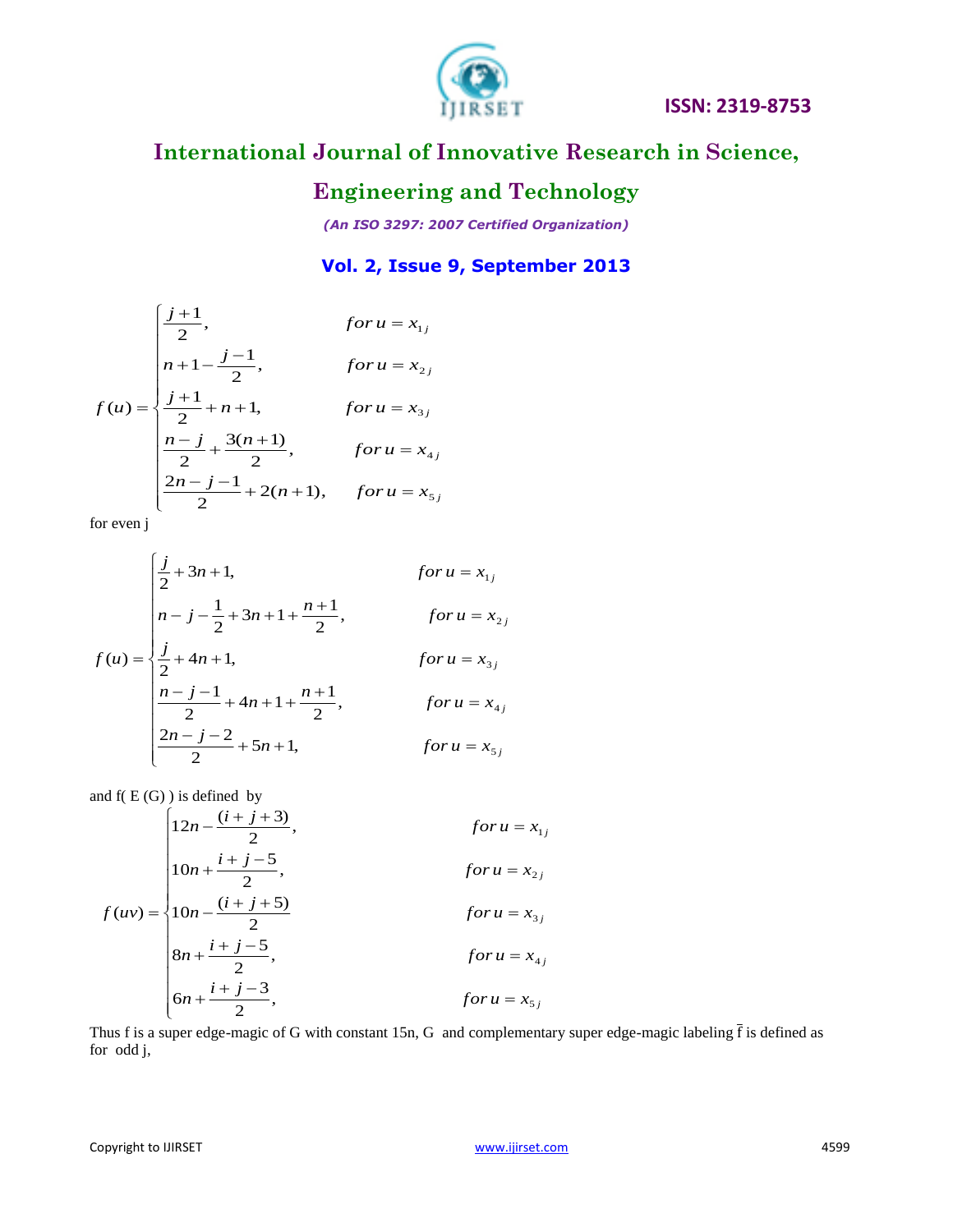

# **International Journal of Innovative Research in Science,**

# **Engineering and Technology**

*(An ISO 3297: 2007 Certified Organization)*

#### **Vol. 2, Issue 9, September 2013**

$$
f(u) = \begin{cases} \frac{j+1}{2}, & \text{for } u = x_{1j} \\ n+1 - \frac{j-1}{2}, & \text{for } u = x_{2j} \\ \frac{j+1}{2} + n + 1, & \text{for } u = x_{3j} \\ \frac{n-j}{2} + \frac{3(n+1)}{2}, & \text{for } u = x_{4j} \\ \frac{2n-j-1}{2} + 2(n+1), & \text{for } u = x_{5j} \end{cases}
$$

for even j

$$
f(u) = \begin{cases} \frac{j}{2} + 3n + 1, & \text{for } u = x_{1j} \\ n - j - \frac{1}{2} + 3n + 1 + \frac{n + 1}{2}, & \text{for } u = x_{2j} \\ \frac{j}{2} + 4n + 1, & \text{for } u = x_{3j} \\ \frac{n - j - 1}{2} + 4n + 1 + \frac{n + 1}{2}, & \text{for } u = x_{4j} \\ \frac{2n - j - 2}{2} + 5n + 1, & \text{for } u = x_{5j} \end{cases}
$$

and  $f(E(G))$  is defined by

$$
f(uv) = \begin{cases} 12n - \frac{(i+j+3)}{2}, & \text{for } u = x_{1j} \\ 10n + \frac{i+j-5}{2}, & \text{for } u = x_{2j} \\ 10n - \frac{(i+j+5)}{2}, & \text{for } u = x_{3j} \\ 8n + \frac{i+j-5}{2}, & \text{for } u = x_{4j} \\ 6n + \frac{i+j-3}{2}, & \text{for } u = x_{5j} \end{cases}
$$

Thus f is a super edge-magic of G with constant 15n, G and complementary super edge-magic labeling  $\bar{f}$  is defined as for odd j,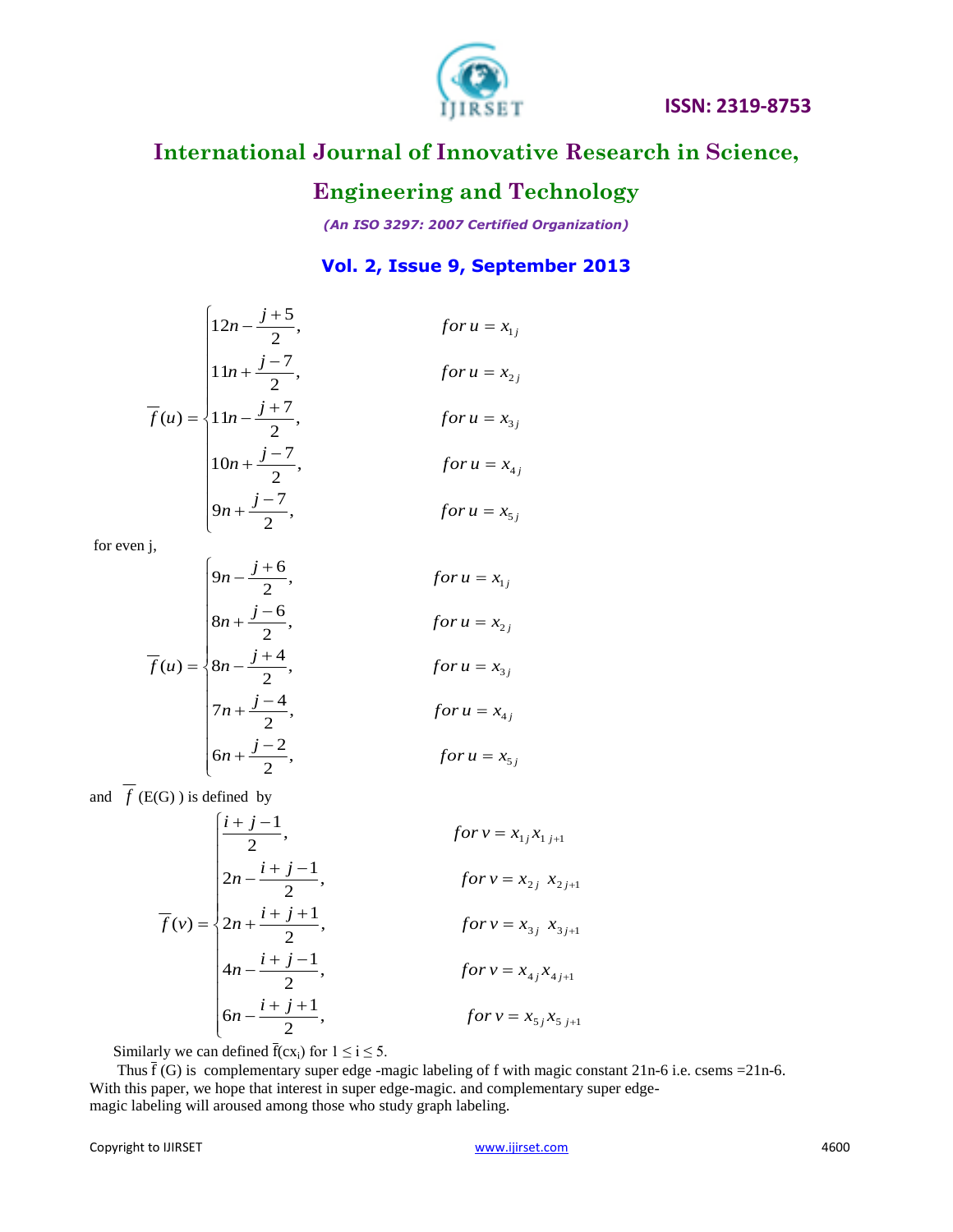

# **International Journal of Innovative Research in Science,**

### **Engineering and Technology**

*(An ISO 3297: 2007 Certified Organization)*

#### **Vol. 2, Issue 9, September 2013**

$$
\overline{f}(u) = \begin{cases}\n12n - \frac{j+5}{2}, & \text{for } u = x_{1j} \\
11n + \frac{j-7}{2}, & \text{for } u = x_{2j} \\
11n - \frac{j+7}{2}, & \text{for } u = x_{3j} \\
10n + \frac{j-7}{2}, & \text{for } u = x_{4j} \\
9n + \frac{j-7}{2}, & \text{for } u = x_{5j}\n\end{cases}
$$

for even j,

$$
\overline{f}(u) = \begin{cases}\n9n - \frac{j+6}{2}, & \text{for } u = x_{1j} \\
8n + \frac{j-6}{2}, & \text{for } u = x_{2j} \\
8n - \frac{j+4}{2}, & \text{for } u = x_{3j} \\
7n + \frac{j-4}{2}, & \text{for } u = x_{4j} \\
6n + \frac{j-2}{2}, & \text{for } u = x_{5j}\n\end{cases}
$$

and  $f(E(G))$  is defined by

$$
\overline{f}(v) = \begin{cases}\n\frac{i+j-1}{2}, & \text{for } v = x_{1j}x_{1j+1} \\
2n - \frac{i+j-1}{2}, & \text{for } v = x_{2j} x_{2j+1} \\
2n + \frac{i+j+1}{2}, & \text{for } v = x_{3j} x_{3j+1} \\
4n - \frac{i+j-1}{2}, & \text{for } v = x_{4j}x_{4j+1} \\
6n - \frac{i+j+1}{2}, & \text{for } v = x_{5j}x_{5j+1}\n\end{cases}
$$

Similarly we can defined  $\bar{f}(cx_i)$  for  $1 \le i \le 5$ .

Thus  $\bar{f}(G)$  is complementary super edge -magic labeling of f with magic constant 21n-6 i.e. csems = 21n-6. With this paper, we hope that interest in super edge-magic. and complementary super edgemagic labeling will aroused among those who study graph labeling.